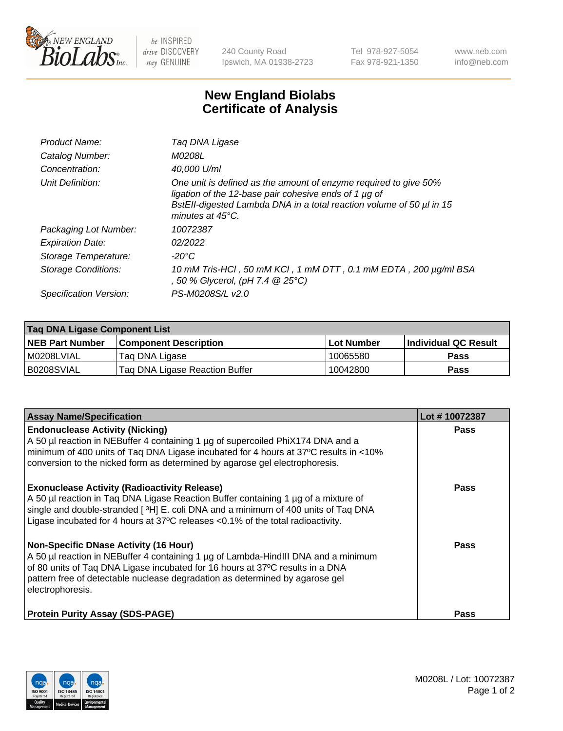

 $be$  INSPIRED drive DISCOVERY stay GENUINE

240 County Road Ipswich, MA 01938-2723 Tel 978-927-5054 Fax 978-921-1350 www.neb.com info@neb.com

## **New England Biolabs Certificate of Analysis**

| Product Name:              | Tag DNA Ligase                                                                                                                                                                                                                  |
|----------------------------|---------------------------------------------------------------------------------------------------------------------------------------------------------------------------------------------------------------------------------|
| Catalog Number:            | M0208L                                                                                                                                                                                                                          |
| Concentration:             | 40.000 U/ml                                                                                                                                                                                                                     |
| Unit Definition:           | One unit is defined as the amount of enzyme required to give 50%<br>ligation of the 12-base pair cohesive ends of 1 µg of<br>BstEll-digested Lambda DNA in a total reaction volume of 50 µl in 15<br>minutes at $45^{\circ}$ C. |
| Packaging Lot Number:      | 10072387                                                                                                                                                                                                                        |
| <b>Expiration Date:</b>    | 02/2022                                                                                                                                                                                                                         |
| Storage Temperature:       | $-20^{\circ}$ C                                                                                                                                                                                                                 |
| <b>Storage Conditions:</b> | 10 mM Tris-HCl, 50 mM KCl, 1 mM DTT, 0.1 mM EDTA, 200 µg/ml BSA<br>, 50 % Glycerol, (pH 7.4 $@25°C$ )                                                                                                                           |
| Specification Version:     | PS-M0208S/L v2.0                                                                                                                                                                                                                |

| Taq DNA Ligase Component List |                                |                   |                      |  |
|-------------------------------|--------------------------------|-------------------|----------------------|--|
| <b>NEB Part Number</b>        | <b>Component Description</b>   | <b>Lot Number</b> | Individual QC Result |  |
| M0208LVIAL                    | Tag DNA Ligase                 | 10065580          | <b>Pass</b>          |  |
| B0208SVIAL                    | Taq DNA Ligase Reaction Buffer | 10042800          | Pass                 |  |

| <b>Assay Name/Specification</b>                                                                                                                                                                                                                                                                                         | Lot #10072387 |
|-------------------------------------------------------------------------------------------------------------------------------------------------------------------------------------------------------------------------------------------------------------------------------------------------------------------------|---------------|
| <b>Endonuclease Activity (Nicking)</b><br>A 50 µl reaction in NEBuffer 4 containing 1 µg of supercoiled PhiX174 DNA and a<br>minimum of 400 units of Taq DNA Ligase incubated for 4 hours at 37°C results in <10%<br>conversion to the nicked form as determined by agarose gel electrophoresis.                        | <b>Pass</b>   |
| <b>Exonuclease Activity (Radioactivity Release)</b><br>A 50 µl reaction in Taq DNA Ligase Reaction Buffer containing 1 µg of a mixture of<br>single and double-stranded [3H] E. coli DNA and a minimum of 400 units of Taq DNA<br>Ligase incubated for 4 hours at 37°C releases <0.1% of the total radioactivity.       | <b>Pass</b>   |
| <b>Non-Specific DNase Activity (16 Hour)</b><br>A 50 µl reaction in NEBuffer 4 containing 1 µg of Lambda-HindIII DNA and a minimum<br>of 80 units of Taq DNA Ligase incubated for 16 hours at 37°C results in a DNA<br>pattern free of detectable nuclease degradation as determined by agarose gel<br>electrophoresis. | Pass          |
| <b>Protein Purity Assay (SDS-PAGE)</b>                                                                                                                                                                                                                                                                                  | <b>Pass</b>   |